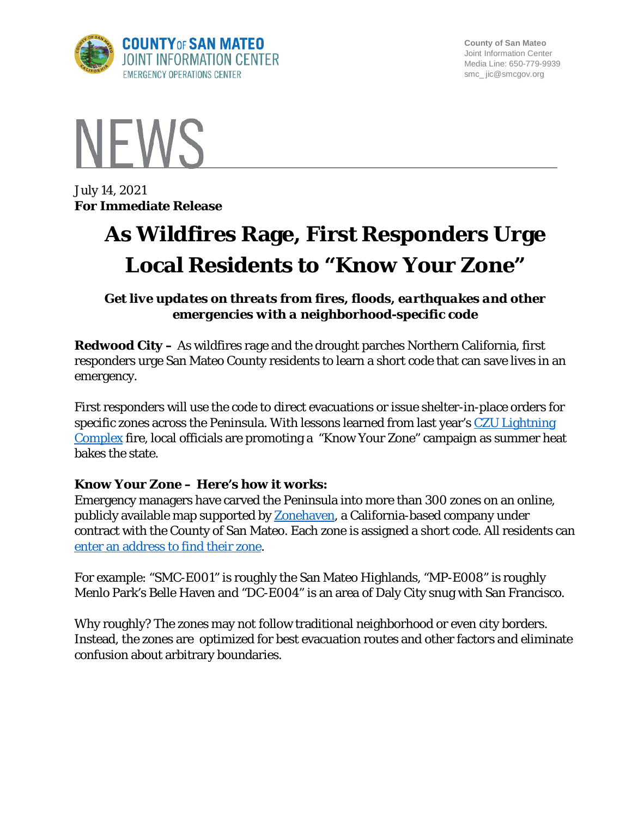

**County of San Mateo** Joint Information Center Media Line: 650-779-9939 smc\_ jic@smcgov.org



July 14, 2021 **For Immediate Release**

## **As Wildfires Rage, First Responders Urge Local Residents to "Know Your Zone"**

*Get live updates on threats from fires, floods, earthquakes and other emergencies with a neighborhood-specific code*

**Redwood City –** As wildfires rage and the drought parches Northern California, first responders urge San Mateo County residents to learn a short code that can save lives in an emergency.

First responders will use the code to direct evacuations or issue shelter-in-place orders for specific zones across the Peninsula. With lessons learned from last year's CZU Lightning [Complex](https://www.arcgis.com/apps/webappviewer/index.html?id=5461c7f372e24ab68ca386e73d58e35a) fire, local officials are promoting a "Know Your Zone" campaign as summer heat bakes the state.

## **Know Your Zone – Here's how it works:**

Emergency managers have carved the Peninsula into more than 300 zones on an online, publicly available map supported by **Zonehaven**, a California-based company under contract with the County of San Mateo. Each zone is assigned a short code. All residents can [enter an address to find their zone.](https://community.zonehaven.com/?latlon=37.44849194740739,-122.23757780828862&z=9.915345758740816)

For example: "SMC-E001" is roughly the San Mateo Highlands, "MP-E008" is roughly Menlo Park's Belle Haven and "DC-E004" is an area of Daly City snug with San Francisco.

Why roughly? The zones may not follow traditional neighborhood or even city borders. Instead, the zones are optimized for best evacuation routes and other factors and eliminate confusion about arbitrary boundaries.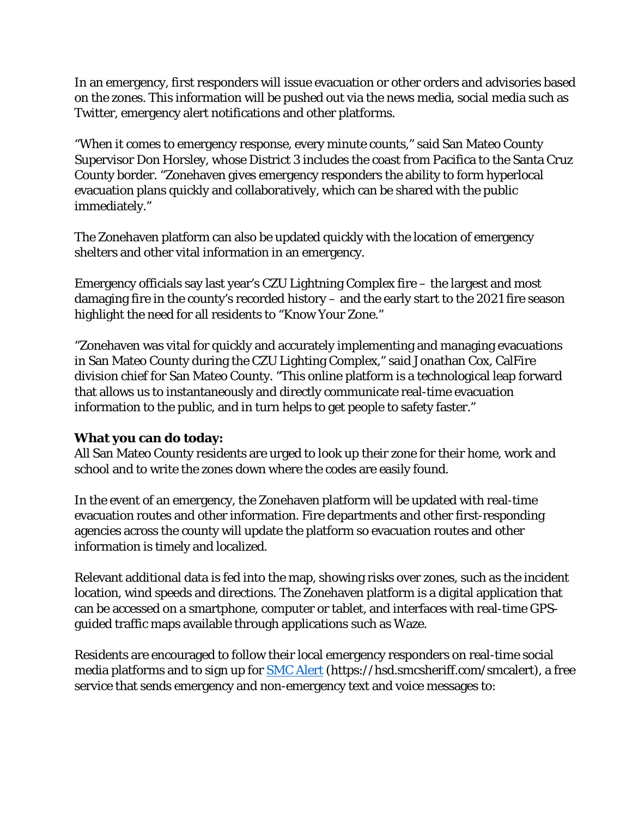In an emergency, first responders will issue evacuation or other orders and advisories based on the zones. This information will be pushed out via the news media, social media such as Twitter, emergency alert notifications and other platforms.

"When it comes to emergency response, every minute counts," said San Mateo County Supervisor Don Horsley, whose District 3 includes the coast from Pacifica to the Santa Cruz County border. "Zonehaven gives emergency responders the ability to form hyperlocal evacuation plans quickly and collaboratively, which can be shared with the public immediately."

The Zonehaven platform can also be updated quickly with the location of emergency shelters and other vital information in an emergency.

Emergency officials say last year's CZU Lightning Complex fire – the largest and most damaging fire in the county's recorded history – and the early start to the 2021 fire season highlight the need for all residents to "Know Your Zone."

"Zonehaven was vital for quickly and accurately implementing and managing evacuations in San Mateo County during the CZU Lighting Complex," said Jonathan Cox, CalFire division chief for San Mateo County. "This online platform is a technological leap forward that allows us to instantaneously and directly communicate real-time evacuation information to the public, and in turn helps to get people to safety faster."

## **What you can do today:**

All San Mateo County residents are urged to look up their zone for their home, work and school and to write the zones down where the codes are easily found.

In the event of an emergency, the Zonehaven platform will be updated with real-time evacuation routes and other information. Fire departments and other first-responding agencies across the county will update the platform so evacuation routes and other information is timely and localized.

Relevant additional data is fed into the map, showing risks over zones, such as the incident location, wind speeds and directions. The Zonehaven platform is a digital application that can be accessed on a smartphone, computer or tablet, and interfaces with real-time GPSguided traffic maps available through applications such as Waze.

Residents are encouraged to follow their local emergency responders on real-time social media platforms and to sign up for **SMC** Alert (https://hsd.smcsheriff.com/smcalert), a free service that sends emergency and non-emergency text and voice messages to: